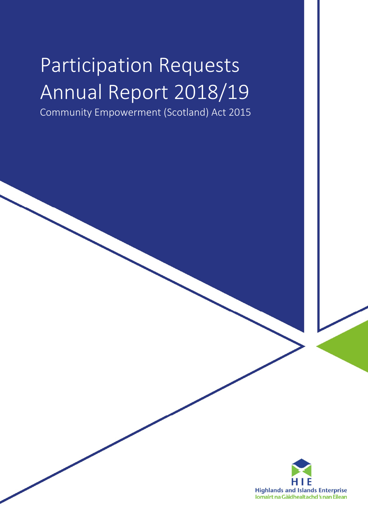# Participation Requests Annual Report 2018/19

Community Empowerment (Scotland) Act 2015